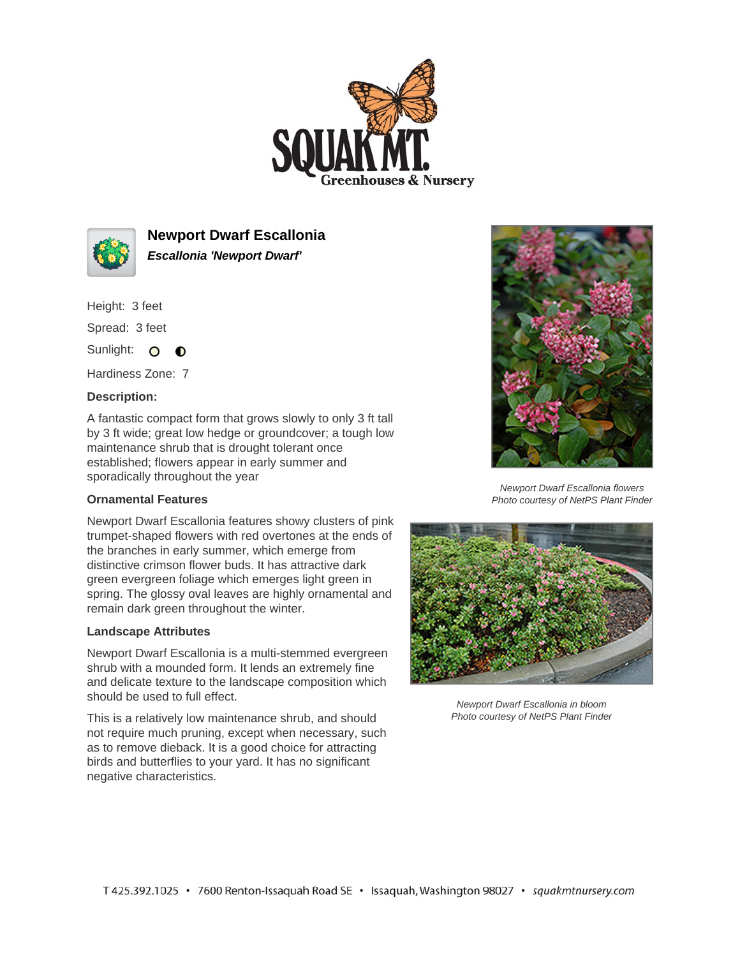



**Newport Dwarf Escallonia Escallonia 'Newport Dwarf'**

Height: 3 feet

Spread: 3 feet

Sunlight: O **O** 

Hardiness Zone: 7

## **Description:**

A fantastic compact form that grows slowly to only 3 ft tall by 3 ft wide; great low hedge or groundcover; a tough low maintenance shrub that is drought tolerant once established; flowers appear in early summer and sporadically throughout the year

## **Ornamental Features**

Newport Dwarf Escallonia features showy clusters of pink trumpet-shaped flowers with red overtones at the ends of the branches in early summer, which emerge from distinctive crimson flower buds. It has attractive dark green evergreen foliage which emerges light green in spring. The glossy oval leaves are highly ornamental and remain dark green throughout the winter.

## **Landscape Attributes**

Newport Dwarf Escallonia is a multi-stemmed evergreen shrub with a mounded form. It lends an extremely fine and delicate texture to the landscape composition which should be used to full effect.

This is a relatively low maintenance shrub, and should not require much pruning, except when necessary, such as to remove dieback. It is a good choice for attracting birds and butterflies to your yard. It has no significant negative characteristics.



Newport Dwarf Escallonia flowers Photo courtesy of NetPS Plant Finder



Newport Dwarf Escallonia in bloom Photo courtesy of NetPS Plant Finder